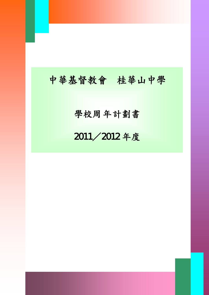I

# 學校周年計劃書

# 2011 / 2012 年度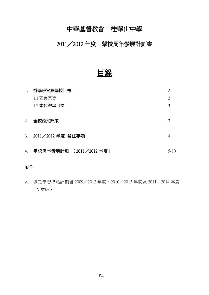## 2011/2012 年度 學校周年發展計劃書

目錄

| 1. | 辦學宗旨與學校目標              | 2              |
|----|------------------------|----------------|
|    | 1.1 區會宗旨               | $\overline{2}$ |
|    | 1.2 本校辦學目標             | 3              |
|    |                        |                |
| 2. | 全校語文政策                 | 3              |
|    |                        |                |
| 3. | 2011/2012 年度 關注事項      |                |
|    |                        |                |
| 4. | 學校周年發展計劃 (2011/2012年度) | $5 - 10$       |

### 附件

A. 多元學習津貼計劃書 2009/2012 年度、2010/2013 年度及 2011/2014 年度 (英文版)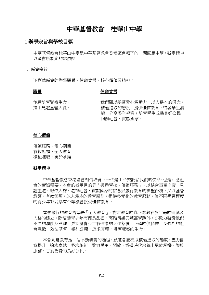#### 1 辦學宗旨與學校目標

中華基督教會桂華山中學是中華基督教會香港區會轄下的一間直屬中學,辦學精神 以區會所制定的為依歸。

1.1 區會宗旨

下列為區會的辦學願景、使命宣言、核心價值及精神:

#### 願景

#### 使命宣言

並肩培育豐盛生命, 攜手見證基督大愛。 我們願以基督愛心為動力,以人為本的信念, 積極進取的態度;提供優質教育,啟發學生潛 能,分享整全福音;培育學生成為良好公民、 回饋社會、貢獻國家。

#### 核心價值

傳道服務、愛心關懷 有教無類、全人教育 積極進取、勇於承擔

#### 辦學精神

中華基督教會香港區會相信培育下一代是上帝交託給我們的使命,也是回應社 會的實際需要。本會的辦學目的是「透過學校、傳道服務」,以結合事奉上帝、見 證主道、服侍人群、造福社會、貢獻國家的信念去履行教育的神聖任務。又以基督 教訓,有教無類,以人為本的教育原則,提供多元化的教育服務,使不同學習程度 的青少年都能享有平等機會接受優質教育。

本會奉行的教育哲學是「全人教育」,肯定教育的真正意義在於生命的造就及 人格的建立。除培養青少年有優良品德、高雅情操與豐富學識外,亦致力啟發他們 不同的潛能及興趣,更期望青少年有健康的人生態度,正確的價值觀,及強烈的社 會意識;效法基督,嚮往公義,追求真理,得著豐盛的生命。

本會同意教育是一個不斷演變的渦程,願意各屬校以積極淮取的態度,盡力自 我提升,追求卓越,尋求革新,致力民主、開放,為這時代培養出勇於承擔、樂於 服務、甘於委身的良好公民。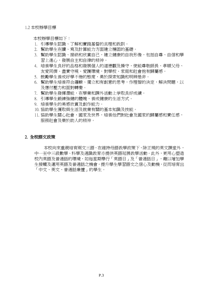1.2 本校辦學目標

本校辦學目標如下:

- 1. 引導學生認識、了解和實踐基督的真理和教訓。
- 2. 幫助學生在讀、寫及計算能力方面建立穩固的基礎。
- 3. 幫助學生認識、接納和欣賞自己,建立健康的自我形像,包括自尊、自信和學 習上進心,發展自主和自律的精神。
- 4. 培養學生良好的品格和發展個人的道德觀及操守,使能尊敬師長、孝順父母、 友愛同儕、盡責守規、愛護環境,對學校、家庭和社會抱有歸屬感。
- 5. 鼓勵學生養成好學不倦的態度,勇於探索知識和明辨是非。
- 6. 幫助學生培養符合邏輯、獨立和有創意的思考,作理智的決定,解決問題,以 及應付壓力和面對轉變。
- 7. 幫助學生發揮潛能,在學業和課外活動上爭取良好成績。
- 8. 引導學生鍛練強健的體魄,養成健康的生活方式。
- 9. 培養學生的美感欣賞及創作能力。
- 10. 協助學生獲取與生活及就業有關的基本知識及技能。
- 11. 協助學生關心社會,國家及世界,培養他們對社會及國家的歸屬感和責任感, 服務社會及樂於助人的精神。

#### 2. 全校語文政策

本校向來重視培育兩文三語,在維持母語教學政策下,除正規的英文課堂外, 中一至中三級數學、科學及通識教育亦提供英語延展教學活動。此外,更用心塑造 校內英語及普通話的環境,如每星期舉行「英語日」及「普通話日」,藉以增加學 生接觸及運用英語及普通話之機會,提升學生學習語文之信心及動機,從而培育出 「中文、英文、普通話兼擅」的學生。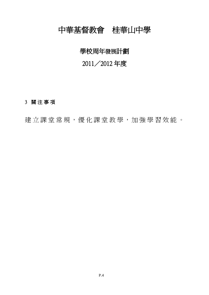# 學校周年發展計劃

# 2011/2012 年度

## 3 關 注 事 項

建立課 堂 常 規, 優 化 課 堂 教 學, 加 強 學 習 效 能 。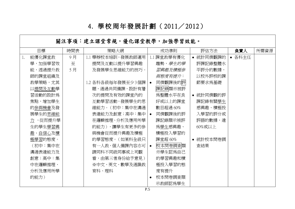# 4. 學校 周年發展計 劃 ( 2011/ 2012)

關注事項:建立課堂常規,優化課堂教學,加強學習效能。 目標 | 時間表 | 策略大網 | 成功準則 | 評估方法 | **負責人** |所需資源 1. 能優化課堂教 9 月 1.1 舉辦校本培訓,發展教師運用 1.1 課堂教學有優化 統計同儕觀課的 各科主任學,加强學習效 至 提問及互動以提升學習興趣 趨勢,學生的學 評課記錄整體水 能,透過提升教 5 月 及發展學生思維能力的技巧。 習興趣及積極參 平評分的數據, 師的課堂組織及 與態度有提升: 以校外評核的課 同儕觀課後的評 教學策略,尤其 1.2 各科各級每年發展至少3個課│● 節要求為基礎 課記錄顯示被評 以提問及互動學 題,通過共同備課,設計有層 習活動的設計為 次的提問及有效的課堂內的 為整體水平在良 統計同儕觀的評 焦點,增加學生 互動學習活動,發展學生的思 好或以上的課堂 課記錄有關學生 的參與機會及發 維能力。(初中:集中在溝通 數目超過 60% 感興趣、積極投 展學生的思維能 入學習的評分或 表達能力及創意;高中:集中│● 同儕觀課後的評 評語的數據,達 力 ,從而提升學 在邏輯推理、分析及應用所學 課記錄顯示被評 生的學生學習興 的能力),讓學生有更多的參 為學生感興趣、 60%或以上 趣、自信心及積 與機會從而提升興趣及積極 積極投入學習的 的學習態度。(如某科全級只 極學習的態度。 課堂超 60% 統計校本問卷調 (初中:集中在 有一人教,個人備課內容亦可 校本問卷調查顯 查結果 溝通表達能力及 請同科不同級同事或上司觀 示學生認為自己 創意;高中:集 看,由第三者身份給予意見) 的學習興趣和積 中在邏輯推理、 ※中文、英文、數學及通識教 極投入學習的態 度有提升 分析及應用所學 育科、理科 的能力) 校本問卷調查顯 示教師認為學生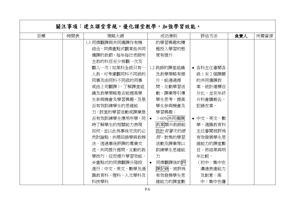|           |  | 關注事項:建立課堂常規,優化課堂教學,加強學習效能。 |                        |           |     |      |
|-----------|--|----------------------------|------------------------|-----------|-----|------|
| 目標<br>時間表 |  | 策略大網                       | 成功準則                   | 評估方法      | 負責人 | 所需資源 |
|           |  | 1.3 同儕觀課與共同備課作有機           | 的學習興趣和積                |           |     |      |
|           |  | 結合,同儕重點式觀某些共同              | 極投入學習的態                |           |     |      |
|           |  | 備課的教節,每年每位老師所              | 度有提升                   |           |     |      |
|           |  | 主教的科目至少被觀一次及               |                        |           |     |      |
|           |  | 觀人一次 (如某科全級只有一             | 1.2 教師的課堂組織            | • 各科主任審閲各 |     |      |
|           |  | 人教,可考慮觀同科不同級的              | 及教學策略有提                | 級1至2個課題   |     |      |
|           |  | 同事及由同科不同級的同事               | 升,能通過提                 | 的共同備課教    |     |      |
|           |  | 或由上司觀課),了解課堂組              | 問、互動學習活                | 案,統計達標百   |     |      |
|           |  | 織及教學策略是否能提高學               | 動、課業等引導                | 分比,並在年終   |     |      |
|           |  | 生參與機會及學習興趣,及是              | 學生思考,提高                | 分科會議報告,   |     |      |
|           |  | 否有效訓練學生的思維能                | 學生參與機會及                | 記錄在案。     |     |      |
|           |  | 力,該堂的學習活動或課業是              | 學習興趣:                  |           |     |      |
|           |  | 否有效訓練學生應用所學,同              | >60% 共同備課<br>$\bullet$ | • 中文、英文、數 |     |      |
|           |  | 時了解學生的相關能力表現               | 教案顯示教師能                | 學、通識教育科   |     |      |
|           |  | 如何,並以此為事後交流的必              | 設計 <i>有層次的提</i>        | 主任審閲被評爲   |     |      |
|           |  | 然討論點, 共商回饋學與教辦             | 問、對焦的學習                | 有效發展學生思   |     |      |
|           |  | 法。透過事後評課的專業交               | 活動及課業等以                | 維能力的課堂數   |     |      |
|           |  | 流,共同提升提問、互動的教              | 訓練學生思維能                | 目,將結果與明   |     |      |
|           |  | 學技巧,從而提升學習效能。              | 力                      | 年比較。      |     |      |
|           |  | ※重點式的同儕觀課分階段               | 同儕觀課後的評<br>$\bullet$   | (初中:集中在   |     |      |
|           |  | 進行:中文、英文、數學及通              | 課記錄、被評為                | 溝通表達能力    |     |      |
|           |  | 識教育科、理科、人文學科及              | 有效發展學生思                | 及創意;高     |     |      |
|           |  | 科技學科                       | 維能力的課堂數                | 中:集中在邏    |     |      |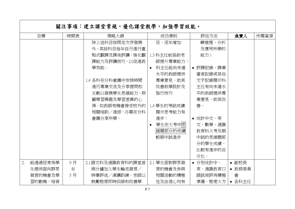|    |         |     | 關注事項:建立課堂常規,優化課堂教學,加強學習效能。 |                      |           |        |      |
|----|---------|-----|----------------------------|----------------------|-----------|--------|------|
|    | 目標      | 時間表 | 策略大網                       | 成功準則                 | 評估方法      | 負責人    | 所需資源 |
|    |         |     | 除上述科目按既定次序發展               | 目,逐年增加               | 輯推理、分析    |        |      |
|    |         |     | 外,其餘科目每年自行進行重              |                      | 及應用所學的    |        |      |
|    |         |     | 點式觀課及課後評講,強化觀              | 1.3 科主任能協助老          | 能力)       |        |      |
|    |         |     | 課能力及評講技巧,以促進教              | 師提升專業能力:             |           |        |      |
|    |         |     | 學效能。                       | 科主任能向未達<br>$\bullet$ | • 評課記錄、課業 |        |      |
|    |         |     |                            | 水平的教師提供              | 審査記錄或其他   |        |      |
|    |         |     | 1.4 各科在分科會議中安排時間           | 專業意見,助其              | 文字記錄顯示科   |        |      |
|    |         |     | 進行專業交流及分享提問和               | 改善教學設計及              | 主任有向未達水   |        |      |
|    |         |     | 互動以發展學生思維能力、照              | 施行技巧                 | 平的教師提供專   |        |      |
|    |         |     | 顧學習興趣及學習差異的心               |                      | 業意見,助其改   |        |      |
|    |         |     | 得。如教師有機會接受校外的              | 1.4 學生的考試成績          | 善。        |        |      |
|    |         |     | 相關培訓/進修,亦需在分科              | 顯示思考能力有              |           |        |      |
|    |         |     | 會議分享所學。                    | 淮步:                  | • 统計中文、英  |        |      |
|    |         |     |                            | 學生在大考中思<br>$\bullet$ | 文、數學、通識   |        |      |
|    |         |     |                            | 維題部分的成績              | 教育科大考及期   |        |      |
|    |         |     |                            | 較期中試進步               | 中試的思維題部   |        |      |
|    |         |     |                            |                      | 分的學生成績,   |        |      |
|    |         |     |                            |                      | 比較有進步的百   |        |      |
|    |         |     |                            |                      | 分比。       |        |      |
| 2. | 能通過恆常爲學 | 9月  | 2.1 語文科及通識教育科的課堂首          | 2.1 學生面對群眾發          | • 分別统計中、  | • 副校長  |      |
|    | 生提供面向群眾 | 至   | 兩分鐘加入學生輪流發言/               | 言的機會及參與              | 英、通識教育口   | • 教務委員 |      |
|    | 發言的機會及學 | 5月  | 時事評述/演講訓練。老師以              | 相關活動的積極              | 語試被評爲積極   | 會      |      |
|    | 習的動機,培養 |     | 鼓勵熊度即時回饋和改善學               | 性及自信心均有              | 準備、態度大方   | • 各科主任 |      |

п

 $\blacksquare$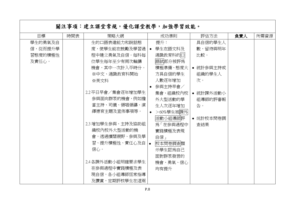|         |     | 關注事項:建立課堂常規,優化課堂教學,加強學習效能。 |           |           |           |     |      |
|---------|-----|----------------------------|-----------|-----------|-----------|-----|------|
| 目標      | 時間表 | 策略大網                       |           | 成功準則      | 評估方法      | 負責人 | 所需資源 |
| 學生的勇氣及自 |     | 生的口語表達能力和說話態               |           | 提升:       | 具自信的學生人   |     |      |
| 信,從而提升學 |     | 度,使學生能在鼓勵及學習過              | $\bullet$ | 學生在語文科及   | 數,留待與明年   |     |      |
| 習態度的積極性 |     | 程中建立勇氣及自信。每科每              |           | 通識教育科的口   | 比較。       |     |      |
| 及責任心。   |     | 位學生每年至少有兩次輪講               |           | 語試部分被評爲   |           |     |      |
|         |     | 機會,其中一次計入平時分。              |           | 積極準備、態度大  | ● 統計參與主持或 |     |      |
|         |     | ※中文、通識教育科開始                |           | 方具自信的學生   | 組織的學生人    |     |      |
|         |     | ※英文科                       |           | 人數逐年增加    | 次。        |     |      |
|         |     |                            | $\bullet$ | 參與主持早會/   |           |     |      |
|         |     | 2.2平日早會/集會逐年增加學生           |           | 集會、組織校內校  | • 統計課外活動小 |     |      |
|         |     | 參與面向群眾的機會,例如擔              |           | 外大型活動的學   | 組導師的評審報   |     |      |
|         |     | 當主持、司儀、領唱領禱、演              |           | 生人次逐年增加   | 告。        |     |      |
|         |     | 繹德育主題及宣佈事項等。               | $\bullet$ | >60%學生被課外 |           |     |      |
|         |     |                            |           | 活動小組導師評   | • 统計校本問卷調 |     |      |
|         |     | 2.3 增加學生參與、主持及協助組          |           | 爲「在參與過程中  | 査結果       |     |      |
|         |     | 織校內校外大型活動的機                |           | 實踐積極及表現   |           |     |      |
|         |     | 會,透過擴闊視野、參與及學              |           | 自信」       |           |     |      |
|         |     | 習、提升積極性、責任心及自              |           | 校本問卷調査顯   |           |     |      |
|         |     | 信心。                        |           | 示學生認爲自己   |           |     |      |
|         |     |                            |           | 面對群眾發言的   |           |     |      |
|         |     | 2.4 各課外活動小組明確要求學生          |           | 機會、勇氣、信心  |           |     |      |
|         |     | 在參與過程中實踐積極及表               |           | 均有提升      |           |     |      |
|         |     | 現自信,各小組導師恆常指導              |           |           |           |     |      |
|         |     | 及讚賞,定期評核學生在這兩              |           |           |           |     |      |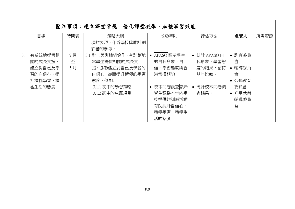|    | 關注事項:建立課堂常規,優化課堂教學,加強學習效能。 |     |                   |            |             |        |      |  |  |  |
|----|----------------------------|-----|-------------------|------------|-------------|--------|------|--|--|--|
|    | 目標                         | 時間表 | 策略大網              | 成功準則       | 評估方法        | 負責人    | 所需資源 |  |  |  |
|    |                            |     | 項的表現,作為學校獎勵計劃     |            |             |        |      |  |  |  |
|    |                            |     | 評審的參考。            |            |             |        |      |  |  |  |
| 3. | 有系统地提供相                    | 9月  | 3.1 社工與訓輔組協作,有計劃地 | APASO 顯示學生 | • 统計 APASO自 | 訓育委員   |      |  |  |  |
|    | 關的成長支援,                    | 至   | 爲學生提供相關的成長支       | 的自我形象、自    | 我形象、學習態     | 會      |      |  |  |  |
|    | 建立對自己及學                    | 5月  | 援,協助建立對自己及學習的     | 信、學習熊度與香   | 度的結果,留待     | 輔導委員   |      |  |  |  |
|    | 習的自信心,提                    |     | 自信心,從而提升積極的學習     | 港常模相約      | 明年比較。       | 會      |      |  |  |  |
|    | 升積極學習、積                    |     | 熊度,例如:            |            |             | • 公民教育 |      |  |  |  |
|    | 極生活的態度                     |     | 3.1.1 初中的學習策略     | 校本問卷調査顯示   | 统計校本問卷調     | 委員會    |      |  |  |  |
|    |                            |     | 3.1.2 高中的生涯規劃     | 學生認爲本年內學   | 杳結果。        | • 升學就業 |      |  |  |  |
|    |                            |     |                   | 校提供的訓輔活動   |             | 輔導委員   |      |  |  |  |
|    |                            |     |                   | 有助提升自信心、   |             | 會      |      |  |  |  |
|    |                            |     |                   | 積極學習、積極生   |             |        |      |  |  |  |
|    |                            |     |                   | 活的態度       |             |        |      |  |  |  |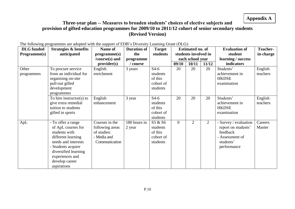## **Appendix A**

## **Three-year plan -- Measures to broaden students' choices of elective subjects and provision of gifted education programmes for 2009/10 to 2011/12 cohort of senior secondary students (Revised Version)**

| <b>DLG</b> funded | The following programmes are acopied while are support of EDD s DT, eishy Ecuminity Oram (DEO).<br><b>Strategies &amp; benefits</b> | Name of         | <b>Duration of</b> | <b>Target</b> |                | <b>Estimated no. of</b> |                | <b>Evaluation of</b>  | <b>Teacher-</b> |
|-------------------|-------------------------------------------------------------------------------------------------------------------------------------|-----------------|--------------------|---------------|----------------|-------------------------|----------------|-----------------------|-----------------|
| Programme(s)      | anticipated                                                                                                                         | programme(s)    | the                | students      |                | students involved in    |                | student               | in-charge       |
|                   |                                                                                                                                     | /course(s) and  | programme          |               |                | each school year        |                | learning / success    |                 |
|                   |                                                                                                                                     | provider(s)     | / course           |               | 09/10          | 10/11                   | 11/12          | indicators            |                 |
| Other             | To procure service                                                                                                                  | English         | 3 years            | $S4-6$        | 20             | 20                      | 20             | Students'             | English         |
| programmes        | from an individual for                                                                                                              | enrichment      |                    | students      |                |                         |                | achievement in        | teachers        |
|                   | organising on-site                                                                                                                  |                 |                    | of this       |                |                         |                | <b>HKDSE</b>          |                 |
|                   | pull-out gifted                                                                                                                     |                 |                    | cohort of     |                |                         |                | examination           |                 |
|                   | development<br>programmes                                                                                                           |                 |                    | students      |                |                         |                |                       |                 |
|                   | To hire instructor(s) to                                                                                                            | English         | 3 year             | $S4-6$        | 20             | 20                      | 20             | Students'             | English         |
|                   | give extra remedial                                                                                                                 | enhancement     |                    | students      |                |                         |                | achievement in        | teachers        |
|                   | tuition to students                                                                                                                 |                 |                    | of this       |                |                         |                | <b>HKDSE</b>          |                 |
|                   | gifted in sports                                                                                                                    |                 |                    | cohort of     |                |                         |                | examination           |                 |
|                   |                                                                                                                                     |                 |                    | students      |                |                         |                |                       |                 |
| ApL               | - To offer a range                                                                                                                  | Courses in the  | 180 hours in       | S5 & S6       | $\overline{0}$ | 2                       | $\overline{2}$ | - Survey / evaluation | Careers         |
|                   | of ApL courses for                                                                                                                  | following areas | 2 year             | students      |                |                         |                | report on students'   | Master          |
|                   | students with                                                                                                                       | of studies:     |                    | of this       |                |                         |                | feedback              |                 |
|                   | different learning                                                                                                                  | - Media and     |                    | cohort of     |                |                         |                | - Assessment of       |                 |
|                   | needs and interests                                                                                                                 | Communication   |                    | students      |                |                         |                | students'             |                 |
|                   | - Students acquire                                                                                                                  |                 |                    |               |                |                         |                | performance           |                 |
|                   | diversified learning                                                                                                                |                 |                    |               |                |                         |                |                       |                 |
|                   | experiences and                                                                                                                     |                 |                    |               |                |                         |                |                       |                 |
|                   | develop career                                                                                                                      |                 |                    |               |                |                         |                |                       |                 |
|                   | aspirations                                                                                                                         |                 |                    |               |                |                         |                |                       |                 |

The following programmes are adopted with the support of EDB's Diversity Learning Grant (DLG):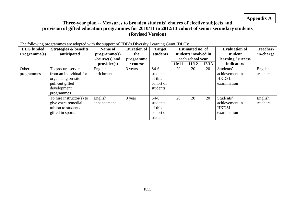## **Appendix A**

## **Three-year plan -- Measures to broaden students' choices of elective subjects and provision of gifted education programmes for 2010/11 to 2012/13 cohort of senior secondary students (Revised Version)**

| <b>DLG</b> funded | The following programmes are adopted with the support of EDD s Driversity Examing Grant (DEG).<br>Strategies & benefits | Name of        | <b>Duration of</b> | <b>Target</b> |       | <b>Estimated no. of</b> |       | <b>Evaluation of</b> | <b>Teacher-</b> |
|-------------------|-------------------------------------------------------------------------------------------------------------------------|----------------|--------------------|---------------|-------|-------------------------|-------|----------------------|-----------------|
| Programme(s)      | anticipated                                                                                                             | programme(s)   | the                | students      |       | students involved in    |       | student              | in-charge       |
|                   |                                                                                                                         | /course(s) and | programme          |               |       | each school year        |       | learning / success   |                 |
|                   |                                                                                                                         | provider(s)    | course             |               | 10/11 | 11/12                   | 12/13 | indicators           |                 |
| Other             | To procure service                                                                                                      | English        | 3 years            | $S4-6$        | 20    | 20                      | 20    | Students'            | English         |
| programmes        | from an individual for                                                                                                  | enrichment     |                    | students      |       |                         |       | achievement in       | teachers        |
|                   | organising on-site                                                                                                      |                |                    | of this       |       |                         |       | <b>HKDSL</b>         |                 |
|                   | pull-out gifted                                                                                                         |                |                    | cohort of     |       |                         |       | examination          |                 |
|                   | development                                                                                                             |                |                    | students      |       |                         |       |                      |                 |
|                   | programmes                                                                                                              |                |                    |               |       |                         |       |                      |                 |
|                   | To hire instructor(s) to                                                                                                | English        | 3 year             | $S4-6$        | 20    | 20                      | 20    | Students'            | English         |
|                   | give extra remedial                                                                                                     | enhancement    |                    | students      |       |                         |       | achievement in       | teachers        |
|                   | tuition to students                                                                                                     |                |                    | of this       |       |                         |       | <b>HKDSL</b>         |                 |
|                   | gifted in sports                                                                                                        |                |                    | cohort of     |       |                         |       | examination          |                 |
|                   |                                                                                                                         |                |                    | students      |       |                         |       |                      |                 |

The following programmes are adopted with the support of EDB's Diversity Learning Grant (DLG):